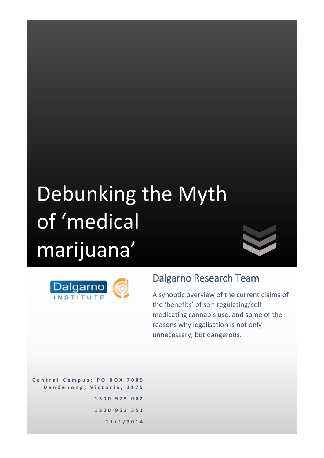# Debunking the Myth of 'medical marijuana'



### Dalgarno Research Team

A synoptic overview of the current claims of the 'benefits' of self-regulating/selfmedicating cannabis use, and some of the reasons why legalisation is not only unnecessary, but dangerous.

**C e n t r a l C a m p u s : P O B O X 7 0 0 5 D a n d e n o n g , V i c t o r i a , 3 1 7 5 1 3 0 0 9 7 5 0 0 2 1 3 0 0 9 5 2 5 5 1 1 1 / 1 / 2 0 1 4**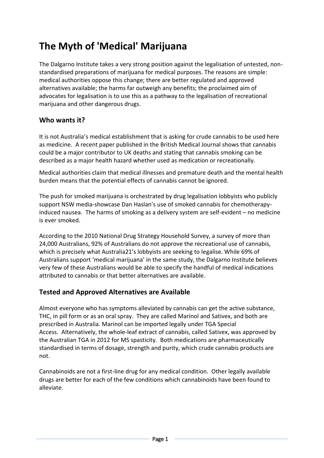## **The Myth of 'Medical' Marijuana**

The Dalgarno Institute takes a very strong position against the legalisation of untested, nonstandardised preparations of marijuana for medical purposes. The reasons are simple: medical authorities oppose this change; there are better regulated and approved alternatives available; the harms far outweigh any benefits; the proclaimed aim of advocates for legalisation is to use this as a pathway to the legalisation of recreational marijuana and other dangerous drugs.

#### **Who wants it?**

It is not Australia's medical establishment that is asking for crude cannabis to be used here as medicine. A recent paper published in the British Medical Journal shows that cannabis could be a major contributor to UK deaths and stating that cannabis smoking can be described as a major health hazard whether used as medication or recreationally.

Medical authorities claim that medical illnesses and premature death and the mental health burden means that the potential effects of cannabis cannot be ignored.

The push for smoked marijuana is orchestrated by drug legalisation lobbyists who publicly support NSW media-showcase Dan Haslan's use of smoked cannabis for chemotherapyinduced nausea. The harms of smoking as a delivery system are self-evident – no medicine is ever smoked.

According to the 2010 National Drug Strategy Household Survey, a survey of more than 24,000 Australians, 92% of Australians do not approve the recreational use of cannabis, which is precisely what Australia21's lobbyists are seeking to legalise. While 69% of Australians support 'medical marijuana' in the same study, the Dalgarno Institute believes very few of these Australians would be able to specify the handful of medical indications attributed to cannabis or that better alternatives are available.

#### **Tested and Approved Alternatives are Available**

Almost everyone who has symptoms alleviated by cannabis can get the active substance, THC, in pill form or as an oral spray. They are called Marinol and Sativex, and both are prescribed in Australia. Marinol can be imported legally under TGA Special Access. Alternatively, the whole-leaf extract of cannabis, called Sativex, was approved by the Australian TGA in 2012 for MS spasticity. Both medications are pharmaceutically standardised in terms of dosage, strength and purity, which crude cannabis products are not.

Cannabinoids are not a first-line drug for any medical condition. Other legally available drugs are better for each of the few conditions which cannabinoids have been found to alleviate.